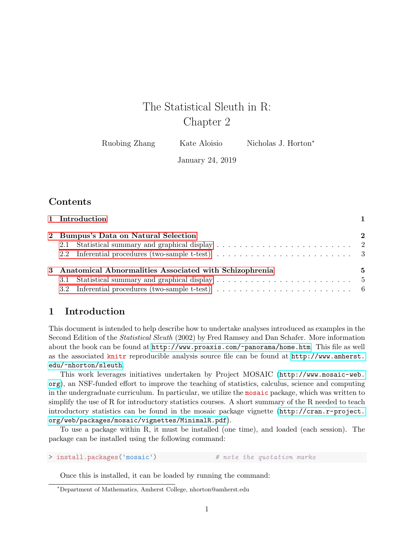# The Statistical Sleuth in R: Chapter 2

Ruobing Zhang Kate Aloisio Nicholas J. Horton<sup>\*</sup>

January 24, 2019

# Contents

| 1 Introduction                                                                                               |              |
|--------------------------------------------------------------------------------------------------------------|--------------|
| 2 Bumpus's Data on Natural Selection                                                                         | $\mathbf{2}$ |
|                                                                                                              |              |
| 2.2 Inferential procedures (two-sample t-test) $\ldots \ldots \ldots \ldots \ldots \ldots \ldots \ldots$     |              |
| 3 Anatomical Abnormalities Associated with Schizophrenia                                                     | 5            |
|                                                                                                              |              |
| 3.2 Inferential procedures (two-sample t-test) $\dots \dots \dots \dots \dots \dots \dots \dots \dots \dots$ |              |

## <span id="page-0-0"></span>1 Introduction

This document is intended to help describe how to undertake analyses introduced as examples in the Second Edition of the Statistical Sleuth (2002) by Fred Ramsey and Dan Schafer. More information about the book can be found at <http://www.proaxis.com/~panorama/home.htm>. This file as well as the associated knitr reproducible analysis source file can be found at [http://www.amherst.](http://www.amherst.edu/~nhorton/sleuth) [edu/~nhorton/sleuth](http://www.amherst.edu/~nhorton/sleuth).

This work leverages initiatives undertaken by Project MOSAIC ([http://www.mosaic-web.](http://www.mosaic-web.org) [org](http://www.mosaic-web.org)), an NSF-funded effort to improve the teaching of statistics, calculus, science and computing in the undergraduate curriculum. In particular, we utilize the mosaic package, which was written to simplify the use of R for introductory statistics courses. A short summary of the R needed to teach introductory statistics can be found in the mosaic package vignette ([http://cran.r-project.](http://cran.r-project.org/web/packages/mosaic/vignettes/MinimalR.pdf) [org/web/packages/mosaic/vignettes/MinimalR.pdf](http://cran.r-project.org/web/packages/mosaic/vignettes/MinimalR.pdf)).

To use a package within R, it must be installed (one time), and loaded (each session). The package can be installed using the following command:

> install.packages('mosaic') # note the quotation marks

Once this is installed, it can be loaded by running the command:

<sup>∗</sup>Department of Mathematics, Amherst College, nhorton@amherst.edu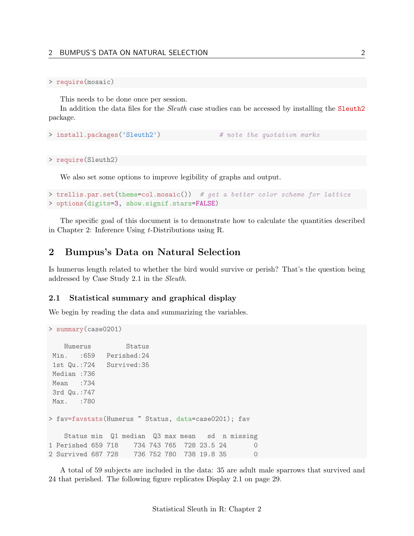#### > require(mosaic)

This needs to be done once per session.

In addition the data files for the *Sleuth* case studies can be accessed by installing the Sleuth<sub>2</sub> package.

```
> install.packages('Sleuth2') # note the quotation marks
```

```
> require(Sleuth2)
```
We also set some options to improve legibility of graphs and output.

```
> trellis.par.set(theme=col.mosaic()) # get a better color scheme for lattice
> options(digits=3, show.signif.stars=FALSE)
```
The specific goal of this document is to demonstrate how to calculate the quantities described in Chapter 2: Inference Using t-Distributions using R.

### <span id="page-1-0"></span>2 Bumpus's Data on Natural Selection

Is humerus length related to whether the bird would survive or perish? That's the question being addressed by Case Study 2.1 in the Sleuth.

#### <span id="page-1-1"></span>2.1 Statistical summary and graphical display

We begin by reading the data and summarizing the variables.

```
> summary(case0201)
```

```
Humerus Status
Min. :659 Perished:24
1st Qu.:724 Survived:35
Median :736
Mean :734
3rd Qu.:747
Max. :780
> fav=favstats(Humerus ~ Status, data=case0201); fav
   Status min Q1 median Q3 max mean sd n missing
1 Perished 659 718 734 743 765 728 23.5 24 0
2 Survived 687 728 736 752 780 738 19.8 35 0
```
A total of 59 subjects are included in the data: 35 are adult male sparrows that survived and 24 that perished. The following figure replicates Display 2.1 on page 29.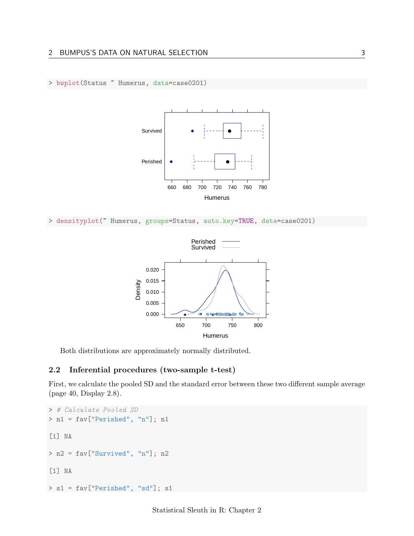> bwplot(Status ~ Humerus, data=case0201)



```
> densityplot(~ Humerus, groups=Status, auto.key=TRUE, data=case0201)
```


Both distributions are approximately normally distributed.

#### <span id="page-2-0"></span>2.2 Inferential procedures (two-sample t-test)

First, we calculate the pooled SD and the standard error between these two different sample average (page 40, Display 2.8).

```
> # Calculate Pooled SD
> n1 = fav["Perished", "n"]; n1
[1] NA
> n2 = fav["Survived", "n"]; n2
[1] NA
> s1 = fav["Perished", "sd"]; s1
```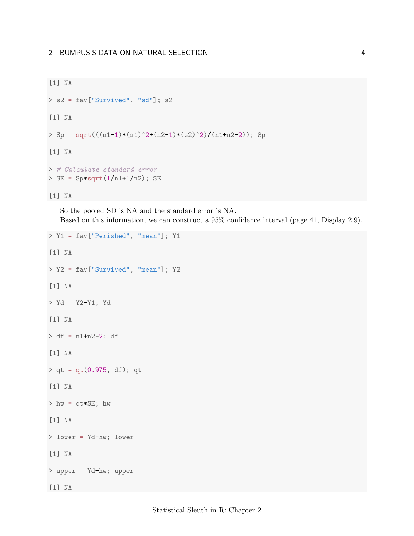```
[1] NA
> s2 = fav["Survived", "sd"]; s2
[1] NA
> Sp = sqrt(((n1-1)*(s1)^2+(n2-1)*(s2)^2)/(n1+n2-2)); Sp
[1] NA
> # Calculate standard error
> SE = Sp*sqrt(1/n1+1/n2); SE[1] NA
```
So the pooled SD is NA and the standard error is NA. Based on this information, we can construct a 95% confidence interval (page 41, Display 2.9).

```
> Y1 = fav["Perished", "mean"]; Y1
[1] NA
> Y2 = fav["Survived", "mean"]; Y2
[1] NA
> Yd = Y2-Y1; Yd
[1] NA
> df = n1+n2-2; df
[1] NA
> qt = qt(0.975, df); qt[1] NA
> hw = qt*SE; hw[1] NA
> lower = Yd-hw; lower
[1] NA
> upper = Yd+hw; upper
[1] NA
```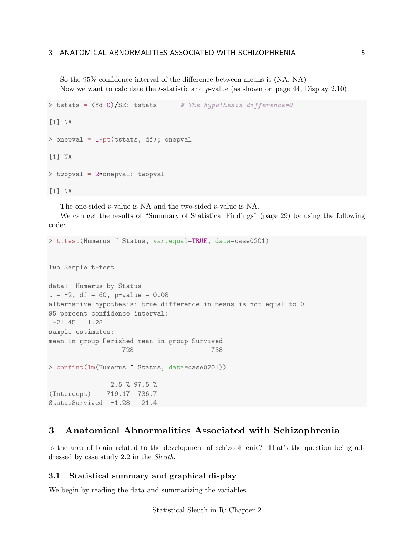So the 95% confidence interval of the difference between means is (NA, NA) Now we want to calculate the t-statistic and p-value (as shown on page 44, Display 2.10).

```
> tstats = (Yd-0)/SE; tstats # The hypothesis difference=0
[1] NA
> onepval = 1-pt(tstats, df); onepval
[1] NA
> twopval = 2*onepval; twopval
[1] NA
```
The one-sided p-value is NA and the two-sided p-value is NA.

We can get the results of "Summary of Statistical Findings" (page 29) by using the following code:

```
> t.test(Humerus ~ Status, var.equal=TRUE, data=case0201)
Two Sample t-test
data: Humerus by Status
t = -2, df = 60, p-value = 0.08
alternative hypothesis: true difference in means is not equal to 0
95 percent confidence interval:
-21.45 1.28
sample estimates:
mean in group Perished mean in group Survived
                  728 738
> confint(lm(Humerus ~ Status, data=case0201))
               2.5 % 97.5 %
(Intercept) 719.17 736.7
StatusSurvived -1.28 21.4
```
### <span id="page-4-0"></span>3 Anatomical Abnormalities Associated with Schizophrenia

Is the area of brain related to the development of schizophrenia? That's the question being addressed by case study 2.2 in the Sleuth.

#### <span id="page-4-1"></span>3.1 Statistical summary and graphical display

We begin by reading the data and summarizing the variables.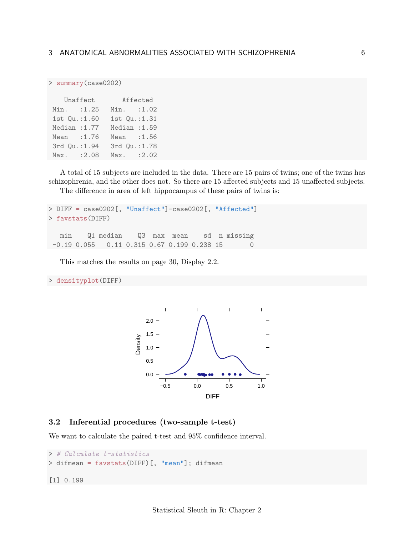> summary(case0202)

| Unaffect      |        | Affected      |        |
|---------------|--------|---------------|--------|
| $Min.$ :1.25  |        | Min. : 1.02   |        |
| 1st Qu.: 1.60 |        | 1st Qu.:1.31  |        |
| Median : 1.77 |        | Median : 1.59 |        |
| Mean          | : 1.76 | Mean : 1.56   |        |
| 3rd Qu.: 1.94 |        | 3rd Qu.: 1.78 |        |
| Max.          | :2.08  | Max.          | : 2.02 |

A total of 15 subjects are included in the data. There are 15 pairs of twins; one of the twins has schizophrenia, and the other does not. So there are 15 affected subjects and 15 unaffected subjects.

The difference in area of left hippocampus of these pairs of twins is:

```
> DIFF = case0202[, "Unaffect"]-case0202[, "Affected"]
> favstats(DIFF)
  min Q1 median Q3 max mean sd n missing
-0.19 0.055 0.11 0.315 0.67 0.199 0.238 15
```
This matches the results on page 30, Display 2.2.

> densityplot(DIFF)



#### <span id="page-5-0"></span>3.2 Inferential procedures (two-sample t-test)

We want to calculate the paired t-test and 95% confidence interval.

```
> # Calculate t-statistics
> difmean = favstats(DIFF)[, "mean"]; difmean
[1] 0.199
```